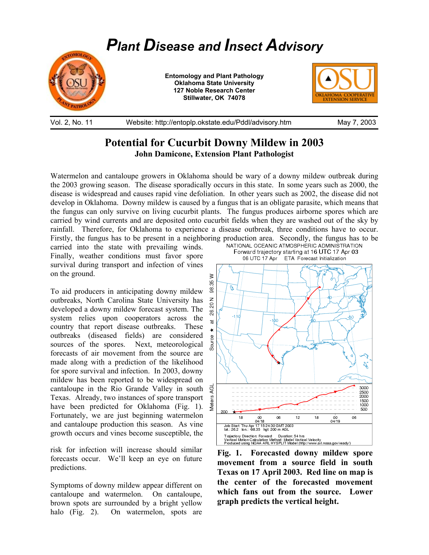

## Vol. 2, No. 11 Website: http://entoplp.okstate.edu/Pddl/advisory.htm May 7, 2003

## **Potential for Cucurbit Downy Mildew in 2003 John Damicone, Extension Plant Pathologist**

Watermelon and cantaloupe growers in Oklahoma should be wary of a downy mildew outbreak during the 2003 growing season. The disease sporadically occurs in this state. In some years such as 2000, the disease is widespread and causes rapid vine defoliation. In other years such as 2002, the disease did not develop in Oklahoma. Downy mildew is caused by a fungus that is an obligate parasite, which means that the fungus can only survive on living cucurbit plants. The fungus produces airborne spores which are carried by wind currents and are deposited onto cucurbit fields when they are washed out of the sky by rainfall. Therefore, for Oklahoma to experience a disease outbreak, three conditions have to occur. Firstly, the fungus has to be present in a neighboring production area. Secondly, the fungus has to be carried into the state with prevailing winds<br>NATIONAL OCEANIC ATMOSPHERIC ADMINISTRATION

carried into the state with prevailing winds. Finally, weather conditions must favor spore survival during transport and infection of vines on the ground.

To aid producers in anticipating downy mildew outbreaks, North Carolina State University has developed a downy mildew forecast system. The system relies upon cooperators across the country that report disease outbreaks. These outbreaks (diseased fields) are considered sources of the spores. Next, meteorological forecasts of air movement from the source are made along with a prediction of the likelihood for spore survival and infection. In 2003, downy mildew has been reported to be widespread on cantaloupe in the Rio Grande Valley in south Texas. Already, two instances of spore transport have been predicted for Oklahoma (Fig. 1). Fortunately, we are just beginning watermelon and cantaloupe production this season. As vine growth occurs and vines become susceptible, the

risk for infection will increase should similar forecasts occur. We'll keep an eye on future predictions.

Symptoms of downy mildew appear different on cantaloupe and watermelon. On cantaloupe, brown spots are surrounded by a bright yellow halo (Fig. 2). On watermelon, spots are



**Fig. 1. Forecasted downy mildew spore movement from a source field in south Texas on 17 April 2003. Red line on map is the center of the forecasted movement which fans out from the source. Lower graph predicts the vertical height.**